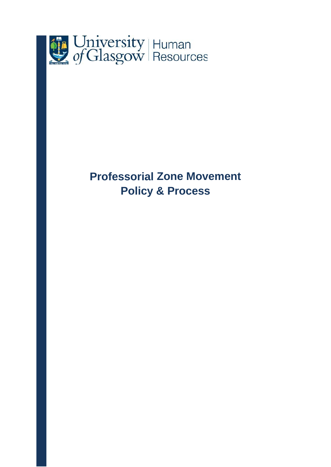

# **Professorial Zone Movement Policy & Process**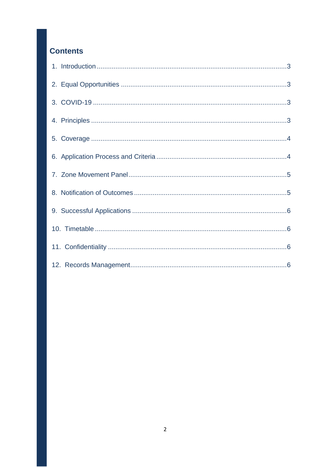# **Contents**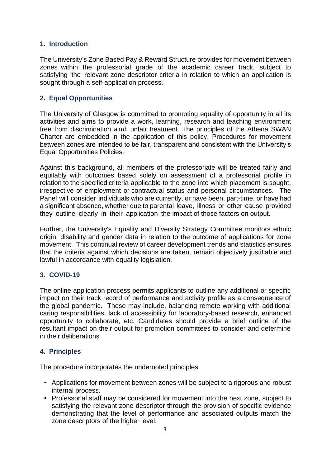# <span id="page-2-0"></span>**1. Introduction**

The University's Zone Based Pay & Reward Structure provides for movement between zones within the professorial grade of the academic career track, subject to satisfying the relevant zone descriptor criteria in relation to which an application is sought through a self-application process.

# <span id="page-2-1"></span>**2. Equal Opportunities**

The University of Glasgow is committed to promoting equality of opportunity in all its activities and aims to provide a work, learning, research and teaching environment free from discrimination and unfair treatment. The principles of the Athena SWAN Charter are embedded in the application of this policy. Procedures for movement between zones are intended to be fair, transparent and consistent with the University's Equal Opportunities Policies.

Against this background, all members of the professoriate will be treated fairly and equitably with outcomes based solely on assessment of a professorial profile in relation to the specified criteria applicable to the zone into which placement is sought, irrespective of employment or contractual status and personal circumstances. The Panel will consider individuals who are currently, or have been, part-time, or have had a significant absence, whether due to parental leave, illness or other cause provided they outline clearly in their application the impact of those factors on output.

Further, the University's Equality and Diversity Strategy Committee monitors ethnic origin, disability and gender data in relation to the outcome of applications for zone movement. This continual review of career development trends and statistics ensures that the criteria against which decisions are taken, remain objectively justifiable and lawful in accordance with equality legislation.

# <span id="page-2-2"></span>**3. COVID-19**

The online application process permits applicants to outline any additional or specific impact on their track record of performance and activity profile as a consequence of the global pandemic. These may include, balancing remote working with additional caring responsibilities, lack of accessibility for laboratory-based research, enhanced opportunity to collaborate, etc. Candidates should provide a brief outline of the resultant impact on their output for promotion committees to consider and determine in their deliberations

#### <span id="page-2-3"></span>**4. Principles**

The procedure incorporates the undernoted principles:

- Applications for movement between zones will be subject to a rigorous and robust internal process.
- Professorial staff may be considered for movement into the next zone, subject to satisfying the relevant zone descriptor through the provision of specific evidence demonstrating that the level of performance and associated outputs match the zone descriptors of the higher level.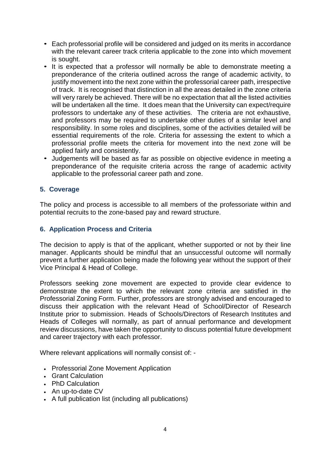- Each professorial profile will be considered and judged on its merits in accordance with the relevant career track criteria applicable to the zone into which movement is sought.
- It is expected that a professor will normally be able to demonstrate meeting a preponderance of the criteria outlined across the range of academic activity, to justify movement into the next zone within the professorial career path, irrespective of track. It is recognised that distinction in all the areas detailed in the zone criteria will very rarely be achieved. There will be no expectation that all the listed activities will be undertaken all the time. It does mean that the University can expect/require professors to undertake any of these activities. The criteria are not exhaustive, and professors may be required to undertake other duties of a similar level and responsibility. In some roles and disciplines, some of the activities detailed will be essential requirements of the role. Criteria for assessing the extent to which a professorial profile meets the criteria for movement into the next zone will be applied fairly and consistently.
- Judgements will be based as far as possible on objective evidence in meeting a preponderance of the requisite criteria across the range of academic activity applicable to the professorial career path and zone.

# <span id="page-3-0"></span>**5. Coverage**

The policy and process is accessible to all members of the professoriate within and potential recruits to the zone-based pay and reward structure.

#### <span id="page-3-1"></span>**6. Application Process and Criteria**

The decision to apply is that of the applicant, whether supported or not by their line manager. Applicants should be mindful that an unsuccessful outcome will normally prevent a further application being made the following year without the support of their Vice Principal & Head of College.

Professors seeking zone movement are expected to provide clear evidence to demonstrate the extent to which the relevant zone criteria are satisfied in the Professorial Zoning Form. Further, professors are strongly advised and encouraged to discuss their application with the relevant Head of School/Director of Research Institute prior to submission. Heads of Schools/Directors of Research Institutes and Heads of Colleges will normally, as part of annual performance and development review discussions, have taken the opportunity to discuss potential future development and career trajectory with each professor.

Where relevant applications will normally consist of: -

- Professorial Zone Movement Application
- Grant Calculation
- PhD Calculation
- An up-to-date CV
- A full publication list (including all publications)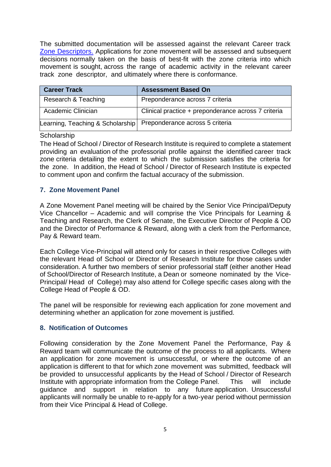The submitted documentation will be assessed against the relevant Career track [Zone Descriptors.](https://www.gla.ac.uk/myglasgow/humanresources/all/pay/professorialandgrade10staff/zonedescriptors/) Applications for zone movement will be assessed and subsequent decisions normally taken on the basis of best-fit with the zone criteria into which movement is sought, across the range of academic activity in the relevant career track zone descriptor, and ultimately where there is conformance.

| <b>Career Track</b>                                                | <b>Assessment Based On</b>                          |
|--------------------------------------------------------------------|-----------------------------------------------------|
| Research & Teaching                                                | Preponderance across 7 criteria                     |
| Academic Clinician                                                 | Clinical practice + preponderance across 7 criteria |
| Learning, Teaching & Scholarship   Preponderance across 5 criteria |                                                     |

#### **Scholarship**

The Head of School / Director of Research Institute is required to complete a statement providing an evaluation of the professorial profile against the identified career track zone criteria detailing the extent to which the submission satisfies the criteria for the zone. In addition, the Head of School / Director of Research Institute is expected to comment upon and confirm the factual accuracy of the submission.

# <span id="page-4-0"></span>**7. Zone Movement Panel**

A Zone Movement Panel meeting will be chaired by the Senior Vice Principal/Deputy Vice Chancellor – Academic and will comprise the Vice Principals for Learning & Teaching and Research, the Clerk of Senate, the Executive Director of People & OD and the Director of Performance & Reward, along with a clerk from the Performance, Pay & Reward team.

Each College Vice-Principal will attend only for cases in their respective Colleges with the relevant Head of School or Director of Research Institute for those cases under consideration. A further two members of senior professorial staff (either another Head of School/Director of Research Institute, a Dean or someone nominated by the Vice-Principal/ Head of College) may also attend for College specific cases along with the College Head of People & OD.

The panel will be responsible for reviewing each application for zone movement and determining whether an application for zone movement is justified.

#### <span id="page-4-1"></span>**8. Notification of Outcomes**

Following consideration by the Zone Movement Panel the Performance, Pay & Reward team will communicate the outcome of the process to all applicants. Where an application for zone movement is unsuccessful, or where the outcome of an application is different to that for which zone movement was submitted, feedback will be provided to unsuccessful applicants by the Head of School / Director of Research Institute with appropriate information from the College Panel. This will include guidance and support in relation to any future application. Unsuccessful applicants will normally be unable to re-apply for a two-year period without permission from their Vice Principal & Head of College.